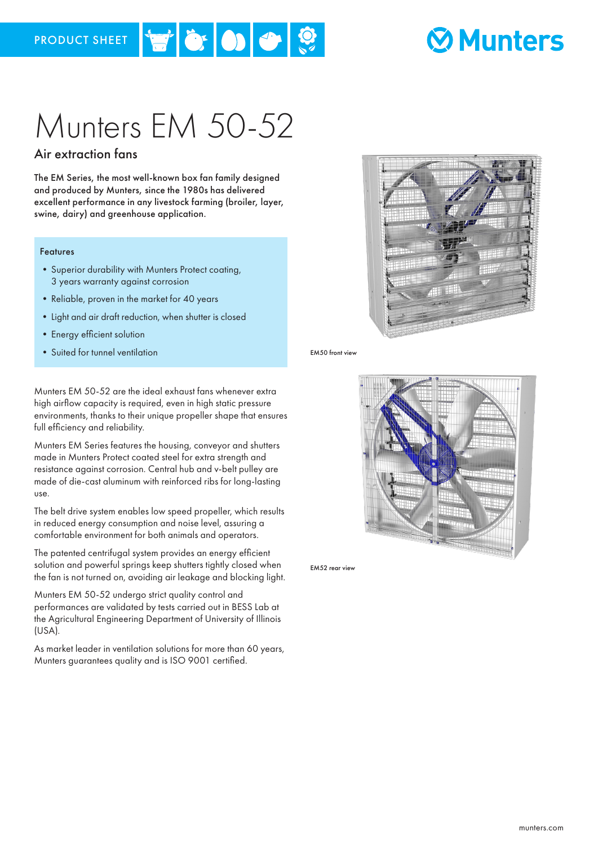### **Ø Munters**

# Munters EM 50-52

 $|\mathbf{v}|$  or  $|\mathbf{v}|$  or  $|\mathcal{D}|$ 

### Air extraction fans

The EM Series, the most well-known box fan family designed and produced by Munters, since the 1980s has delivered excellent performance in any livestock farming (broiler, layer, swine, dairy) and greenhouse application.

#### Features

- •Superior durability with Munters Protect coating, 3 years warranty against corrosion
- Reliable, proven in the market for 40 years
- •Light and air draft reduction, when shutter is closed
- •Energy efficient solution
- Suited for tunnel ventilation **EM50** from the EM50 front view

Munters EM 50-52 are the ideal exhaust fans whenever extra high airflow capacity is required, even in high static pressure environments, thanks to their unique propeller shape that ensures full efficiency and reliability.

Munters EM Series features the housing, conveyor and shutters made in Munters Protect coated steel for extra strength and resistance against corrosion. Central hub and v-belt pulley are made of die-cast aluminum with reinforced ribs for long-lasting use.

The belt drive system enables low speed propeller, which results in reduced energy consumption and noise level, assuring a comfortable environment for both animals and operators.

The patented centrifugal system provides an energy efficient solution and powerful springs keep shutters tightly closed when the fan is not turned on, avoiding air leakage and blocking light.

Munters EM 50-52 undergo strict quality control and performances are validated by tests carried out in BESS Lab at the Agricultural Engineering Department of University of Illinois (USA).

As market leader in ventilation solutions for more than 60 years, Munters guarantees quality and is ISO 9001 certified.





EM52 rear view